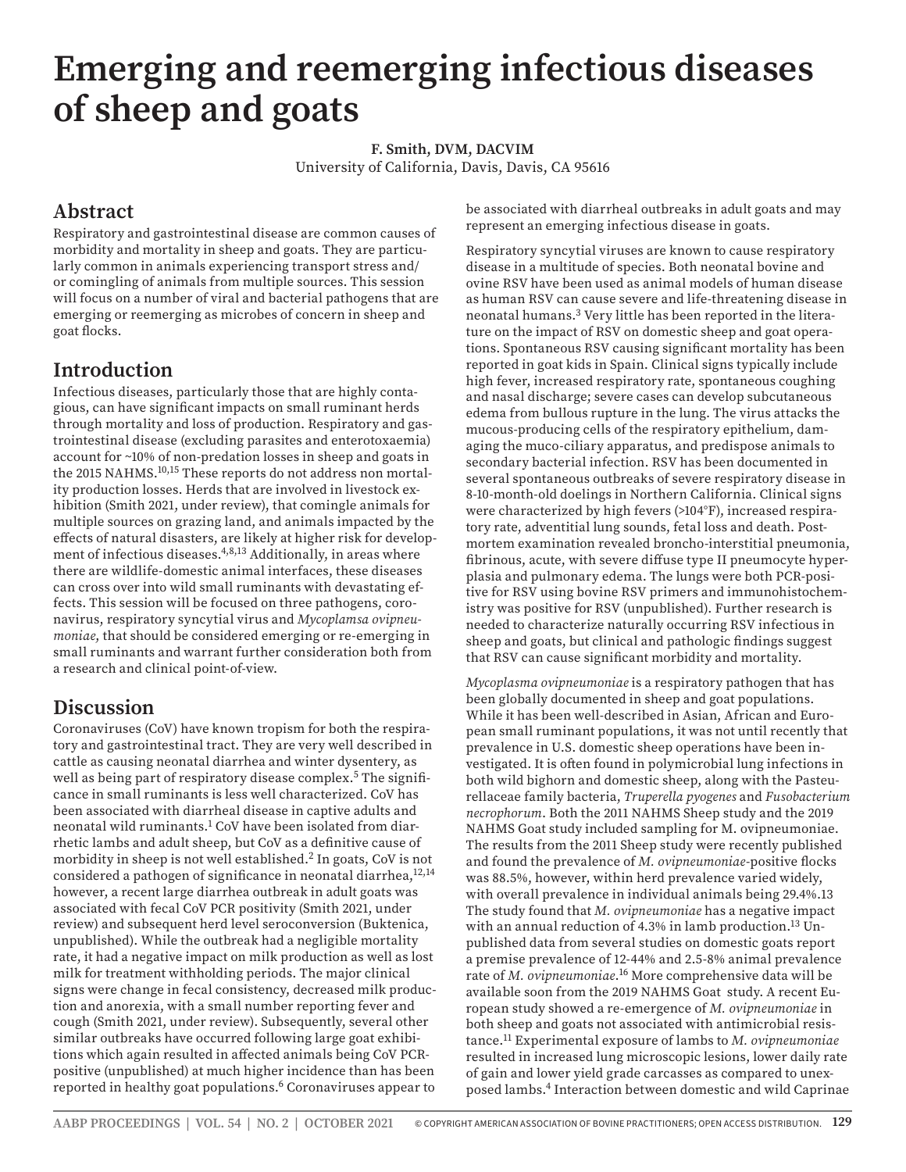# **Emerging and reemerging infectious diseases of sheep and goats**

**F. Smith, DVM, DACVIM** University of California, Davis, Davis, CA 95616

### **Abstract**

Respiratory and gastrointestinal disease are common causes of morbidity and mortality in sheep and goats. They are particularly common in animals experiencing transport stress and/ or comingling of animals from multiple sources. This session will focus on a number of viral and bacterial pathogens that are emerging or reemerging as microbes of concern in sheep and goat flocks.

## **Introduction**

Infectious diseases, particularly those that are highly contagious, can have significant impacts on small ruminant herds through mortality and loss of production. Respiratory and gastrointestinal disease (excluding parasites and enterotoxaemia) account for ~10% of non-predation losses in sheep and goats in the 2015 NAHMS.<sup>10,15</sup> These reports do not address non mortality production losses. Herds that are involved in livestock exhibition (Smith 2021, under review), that comingle animals for multiple sources on grazing land, and animals impacted by the effects of natural disasters, are likely at higher risk for development of infectious diseases.<sup>4,8,13</sup> Additionally, in areas where there are wildlife-domestic animal interfaces, these diseases can cross over into wild small ruminants with devastating effects. This session will be focused on three pathogens, coronavirus, respiratory syncytial virus and *Mycoplamsa ovipneumoniae*, that should be considered emerging or re-emerging in small ruminants and warrant further consideration both from a research and clinical point-of-view.

## **Discussion**

Coronaviruses (CoV) have known tropism for both the respiratory and gastrointestinal tract. They are very well described in cattle as causing neonatal diarrhea and winter dysentery, as well as being part of respiratory disease complex.<sup>5</sup> The significance in small ruminants is less well characterized. CoV has been associated with diarrheal disease in captive adults and neonatal wild ruminants.<sup>1</sup> CoV have been isolated from diarrhetic lambs and adult sheep, but CoV as a definitive cause of morbidity in sheep is not well established.<sup>2</sup> In goats, CoV is not considered a pathogen of significance in neonatal diarrhea,<sup>12,14</sup> however, a recent large diarrhea outbreak in adult goats was associated with fecal CoV PCR positivity (Smith 2021, under review) and subsequent herd level seroconversion (Buktenica, unpublished). While the outbreak had a negligible mortality rate, it had a negative impact on milk production as well as lost milk for treatment withholding periods. The major clinical signs were change in fecal consistency, decreased milk production and anorexia, with a small number reporting fever and cough (Smith 2021, under review). Subsequently, several other similar outbreaks have occurred following large goat exhibitions which again resulted in affected animals being CoV PCRpositive (unpublished) at much higher incidence than has been reported in healthy goat populations.<sup>6</sup> Coronaviruses appear to

be associated with diarrheal outbreaks in adult goats and may represent an emerging infectious disease in goats.

Respiratory syncytial viruses are known to cause respiratory disease in a multitude of species. Both neonatal bovine and ovine RSV have been used as animal models of human disease as human RSV can cause severe and life-threatening disease in neonatal humans.3 Very little has been reported in the literature on the impact of RSV on domestic sheep and goat operations. Spontaneous RSV causing significant mortality has been reported in goat kids in Spain. Clinical signs typically include high fever, increased respiratory rate, spontaneous coughing and nasal discharge; severe cases can develop subcutaneous edema from bullous rupture in the lung. The virus attacks the mucous-producing cells of the respiratory epithelium, damaging the muco-ciliary apparatus, and predispose animals to secondary bacterial infection. RSV has been documented in several spontaneous outbreaks of severe respiratory disease in 8-10-month-old doelings in Northern California. Clinical signs were characterized by high fevers (>104°F), increased respiratory rate, adventitial lung sounds, fetal loss and death. Postmortem examination revealed broncho-interstitial pneumonia, fibrinous, acute, with severe diffuse type II pneumocyte hyperplasia and pulmonary edema. The lungs were both PCR-positive for RSV using bovine RSV primers and immunohistochemistry was positive for RSV (unpublished). Further research is needed to characterize naturally occurring RSV infectious in sheep and goats, but clinical and pathologic findings suggest that RSV can cause significant morbidity and mortality.

*Mycoplasma ovipneumoniae* is a respiratory pathogen that has been globally documented in sheep and goat populations. While it has been well-described in Asian, African and European small ruminant populations, it was not until recently that prevalence in U.S. domestic sheep operations have been investigated. It is often found in polymicrobial lung infections in both wild bighorn and domestic sheep, along with the Pasteurellaceae family bacteria, *Truperella pyogenes* and *Fusobacterium necrophorum*. Both the 2011 NAHMS Sheep study and the 2019 NAHMS Goat study included sampling for M. ovipneumoniae. The results from the 2011 Sheep study were recently published and found the prevalence of *M. ovipneumoniae*-positive flocks was 88.5%, however, within herd prevalence varied widely, with overall prevalence in individual animals being 29.4%.13 The study found that *M. ovipneumoniae* has a negative impact with an annual reduction of 4.3% in lamb production.<sup>13</sup> Unpublished data from several studies on domestic goats report a premise prevalence of 12-44% and 2.5-8% animal prevalence rate of *M. ovipneumoniae*. 16 More comprehensive data will be available soon from the 2019 NAHMS Goat study. A recent European study showed a re-emergence of *M. ovipneumoniae* in both sheep and goats not associated with antimicrobial resistance.11 Experimental exposure of lambs to *M. ovipneumoniae* resulted in increased lung microscopic lesions, lower daily rate of gain and lower yield grade carcasses as compared to unexposed lambs.4 Interaction between domestic and wild Caprinae